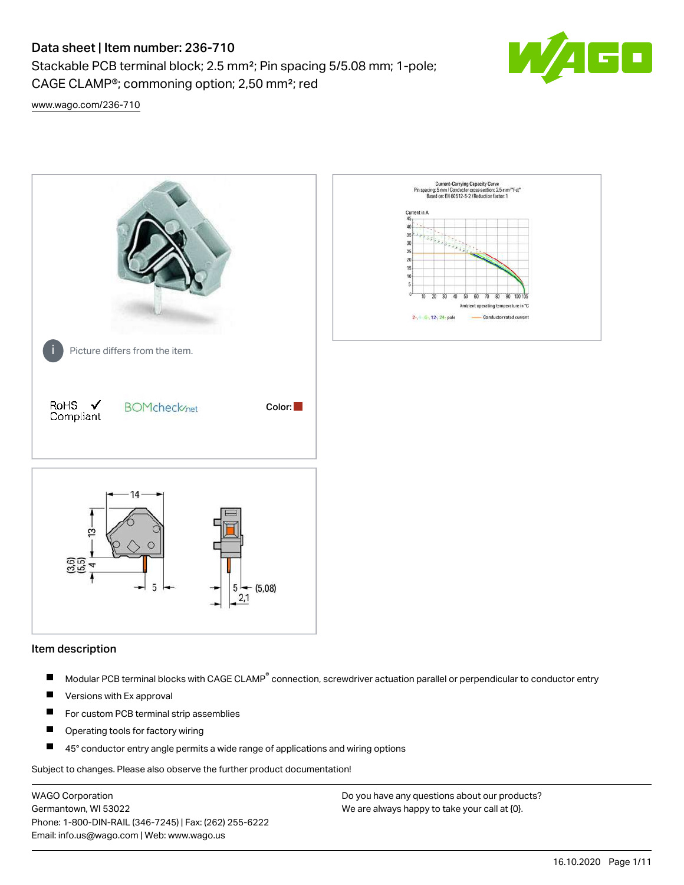Stackable PCB terminal block; 2.5 mm²; Pin spacing 5/5.08 mm; 1-pole; CAGE CLAMP®; commoning option; 2,50 mm²; red



[www.wago.com/236-710](http://www.wago.com/236-710)



#### Item description

- Modular PCB terminal blocks with CAGE CLAMP<sup>®</sup> connection, screwdriver actuation parallel or perpendicular to conductor entry П
- $\blacksquare$ Versions with Ex approval
- П For custom PCB terminal strip assemblies
- $\blacksquare$ Operating tools for factory wiring
- $\blacksquare$ 45° conductor entry angle permits a wide range of applications and wiring options

Subject to changes. Please also observe the further product documentation!

WAGO Corporation Germantown, WI 53022 Phone: 1-800-DIN-RAIL (346-7245) | Fax: (262) 255-6222 Email: info.us@wago.com | Web: www.wago.us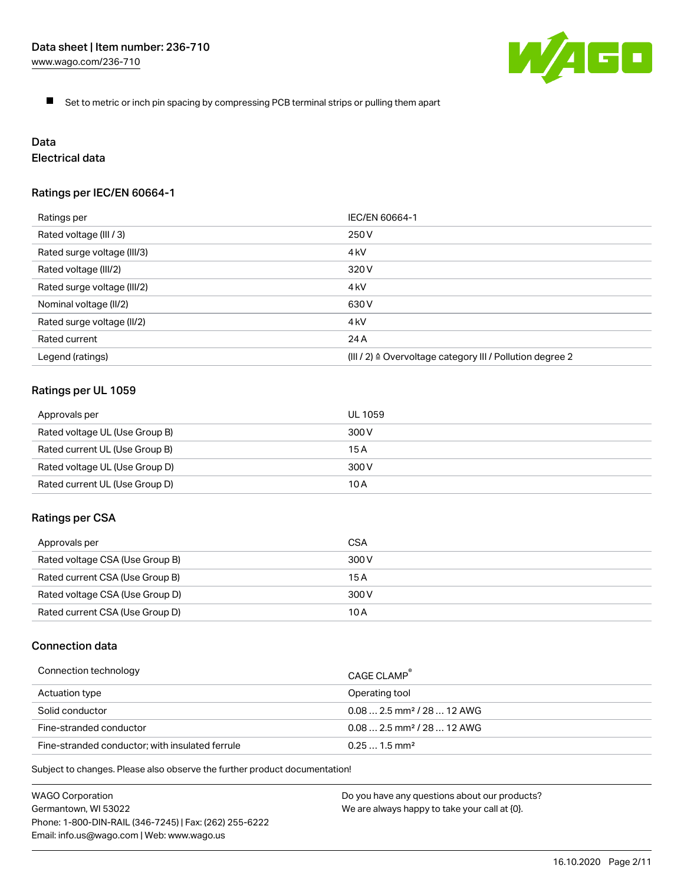

 $\blacksquare$ Set to metric or inch pin spacing by compressing PCB terminal strips or pulling them apart

# Data

# Electrical data

# Ratings per IEC/EN 60664-1

| Ratings per                 | IEC/EN 60664-1                                                        |
|-----------------------------|-----------------------------------------------------------------------|
| Rated voltage (III / 3)     | 250 V                                                                 |
| Rated surge voltage (III/3) | 4 <sub>kV</sub>                                                       |
| Rated voltage (III/2)       | 320 V                                                                 |
| Rated surge voltage (III/2) | 4 <sub>k</sub> V                                                      |
| Nominal voltage (II/2)      | 630 V                                                                 |
| Rated surge voltage (II/2)  | 4 <sub>kV</sub>                                                       |
| Rated current               | 24 A                                                                  |
| Legend (ratings)            | $(III / 2)$ $\triangle$ Overvoltage category III / Pollution degree 2 |

## Ratings per UL 1059

| Approvals per                  | UL 1059 |
|--------------------------------|---------|
| Rated voltage UL (Use Group B) | 300 V   |
| Rated current UL (Use Group B) | 15 A    |
| Rated voltage UL (Use Group D) | 300 V   |
| Rated current UL (Use Group D) | 10 A    |

#### Ratings per CSA

| Approvals per                   | CSA   |
|---------------------------------|-------|
| Rated voltage CSA (Use Group B) | 300 V |
| Rated current CSA (Use Group B) | 15 A  |
| Rated voltage CSA (Use Group D) | 300 V |
| Rated current CSA (Use Group D) | 10 A  |

# Connection data

| Connection technology                           | CAGE CLAMP                              |
|-------------------------------------------------|-----------------------------------------|
| Actuation type                                  | Operating tool                          |
| Solid conductor                                 | $0.08$ 2.5 mm <sup>2</sup> / 28  12 AWG |
| Fine-stranded conductor                         | $0.082.5$ mm <sup>2</sup> / 28  12 AWG  |
| Fine-stranded conductor; with insulated ferrule | $0.251.5$ mm <sup>2</sup>               |

Subject to changes. Please also observe the further product documentation!

WAGO Corporation Germantown, WI 53022 Phone: 1-800-DIN-RAIL (346-7245) | Fax: (262) 255-6222 Email: info.us@wago.com | Web: www.wago.us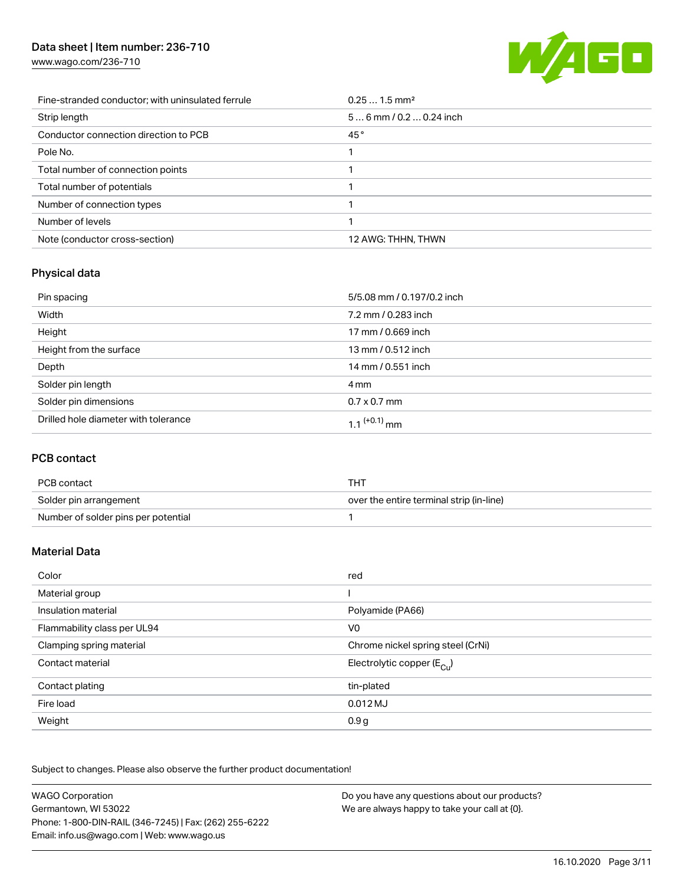[www.wago.com/236-710](http://www.wago.com/236-710)



| Fine-stranded conductor; with uninsulated ferrule | $0.251.5$ mm <sup>2</sup> |
|---------------------------------------------------|---------------------------|
| Strip length                                      | $56$ mm / 0.2  0.24 inch  |
| Conductor connection direction to PCB             | 45°                       |
| Pole No.                                          |                           |
| Total number of connection points                 |                           |
| Total number of potentials                        |                           |
| Number of connection types                        |                           |
| Number of levels                                  |                           |
| Note (conductor cross-section)                    | 12 AWG: THHN, THWN        |

# Physical data

| Pin spacing                          | 5/5.08 mm / 0.197/0.2 inch |
|--------------------------------------|----------------------------|
| Width                                | 7.2 mm / 0.283 inch        |
| Height                               | 17 mm / 0.669 inch         |
| Height from the surface              | 13 mm / 0.512 inch         |
| Depth                                | 14 mm / 0.551 inch         |
| Solder pin length                    | 4 mm                       |
| Solder pin dimensions                | $0.7 \times 0.7$ mm        |
| Drilled hole diameter with tolerance | 1.1 <sup>(+0.1)</sup> mm   |

# PCB contact

| PCB contact                         | THT                                      |
|-------------------------------------|------------------------------------------|
| Solder pin arrangement              | over the entire terminal strip (in-line) |
| Number of solder pins per potential |                                          |

# Material Data

| Color                       | red                                   |
|-----------------------------|---------------------------------------|
| Material group              |                                       |
| Insulation material         | Polyamide (PA66)                      |
| Flammability class per UL94 | V <sub>0</sub>                        |
| Clamping spring material    | Chrome nickel spring steel (CrNi)     |
| Contact material            | Electrolytic copper $(E_{\text{Cu}})$ |
| Contact plating             | tin-plated                            |
| Fire load                   | $0.012$ MJ                            |
| Weight                      | 0.9 <sub>g</sub>                      |

Subject to changes. Please also observe the further product documentation!

| <b>WAGO Corporation</b>                                | Do you have any questions about our products? |
|--------------------------------------------------------|-----------------------------------------------|
| Germantown, WI 53022                                   | We are always happy to take your call at {0}. |
| Phone: 1-800-DIN-RAIL (346-7245)   Fax: (262) 255-6222 |                                               |
| Email: info.us@wago.com   Web: www.wago.us             |                                               |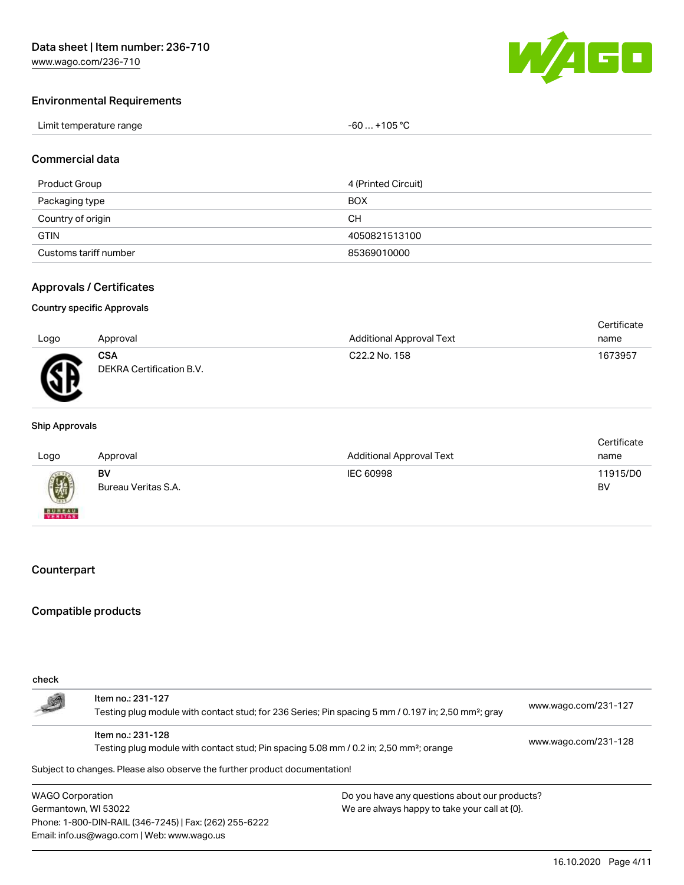

#### Environmental Requirements

| Limit temperature range | . +105 °C<br>-60 |
|-------------------------|------------------|
|-------------------------|------------------|

#### Commercial data

| Product Group         | 4 (Printed Circuit) |
|-----------------------|---------------------|
| Packaging type        | <b>BOX</b>          |
| Country of origin     | CН                  |
| <b>GTIN</b>           | 4050821513100       |
| Customs tariff number | 85369010000         |

#### Approvals / Certificates

#### Country specific Approvals

| Logo | Approval                               | <b>Additional Approval Text</b> | Certificate<br>name |
|------|----------------------------------------|---------------------------------|---------------------|
| Æ    | <b>CSA</b><br>DEKRA Certification B.V. | C22.2 No. 158                   | 1673957             |

#### Ship Approvals

| Logo          | Approval            | <b>Additional Approval Text</b> | Certificate<br>name |
|---------------|---------------------|---------------------------------|---------------------|
| 0             | BV                  | IEC 60998                       | 11915/D0            |
| <b>BUREAU</b> | Bureau Veritas S.A. |                                 | BV                  |

#### Counterpart

### Compatible products

| check                                                                      |                                                                                                                 |                                               |                      |
|----------------------------------------------------------------------------|-----------------------------------------------------------------------------------------------------------------|-----------------------------------------------|----------------------|
| L                                                                          | Item no.: 231-127                                                                                               |                                               | www.wago.com/231-127 |
|                                                                            | Testing plug module with contact stud; for 236 Series; Pin spacing 5 mm / 0.197 in; 2,50 mm <sup>2</sup> ; gray |                                               |                      |
|                                                                            | Item no.: 231-128                                                                                               |                                               | www.wago.com/231-128 |
|                                                                            | Testing plug module with contact stud; Pin spacing 5.08 mm / 0.2 in; 2,50 mm <sup>2</sup> ; orange              |                                               |                      |
| Subject to changes. Please also observe the further product documentation! |                                                                                                                 |                                               |                      |
| <b>WAGO Corporation</b>                                                    |                                                                                                                 | Do you have any questions about our products? |                      |
| Germantown, WI 53022                                                       |                                                                                                                 | We are always happy to take your call at {0}. |                      |
| Phone: 1-800-DIN-RAIL (346-7245)   Fax: (262) 255-6222                     |                                                                                                                 |                                               |                      |
| Email: info.us@wago.com   Web: www.wago.us                                 |                                                                                                                 |                                               |                      |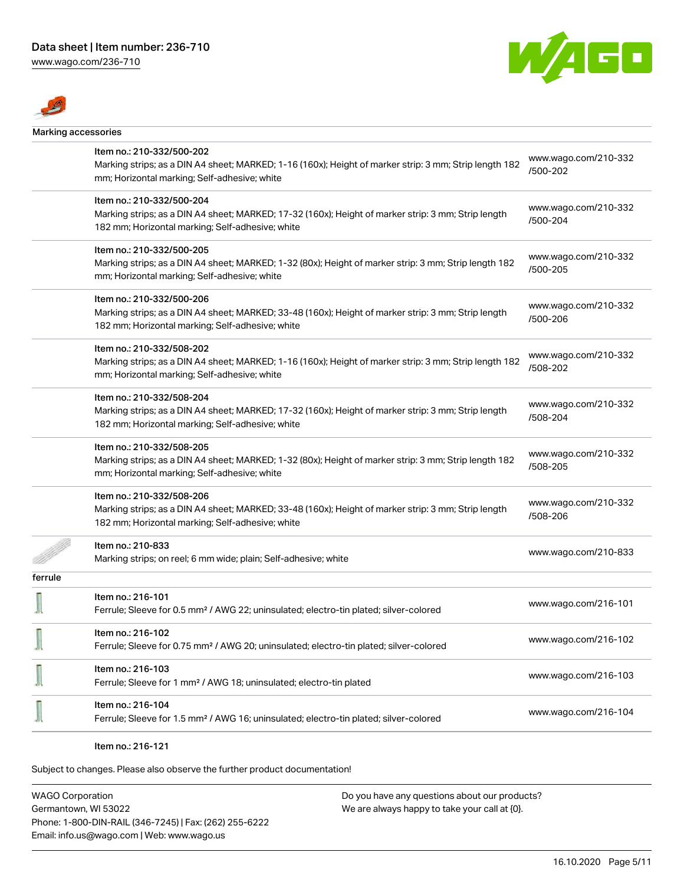[www.wago.com/236-710](http://www.wago.com/236-710)





| Marking accessories |                                                                                                                                                         |                      |
|---------------------|---------------------------------------------------------------------------------------------------------------------------------------------------------|----------------------|
|                     | Item no.: 210-332/500-202                                                                                                                               | www.wago.com/210-332 |
|                     | Marking strips; as a DIN A4 sheet; MARKED; 1-16 (160x); Height of marker strip: 3 mm; Strip length 182<br>mm; Horizontal marking; Self-adhesive; white  | /500-202             |
|                     | Item no.: 210-332/500-204                                                                                                                               | www.wago.com/210-332 |
|                     | Marking strips; as a DIN A4 sheet; MARKED; 17-32 (160x); Height of marker strip: 3 mm; Strip length<br>182 mm; Horizontal marking; Self-adhesive; white | /500-204             |
|                     | Item no.: 210-332/500-205                                                                                                                               | www.wago.com/210-332 |
|                     | Marking strips; as a DIN A4 sheet; MARKED; 1-32 (80x); Height of marker strip: 3 mm; Strip length 182<br>mm; Horizontal marking; Self-adhesive; white   | /500-205             |
|                     | Item no.: 210-332/500-206                                                                                                                               | www.wago.com/210-332 |
|                     | Marking strips; as a DIN A4 sheet; MARKED; 33-48 (160x); Height of marker strip: 3 mm; Strip length<br>182 mm; Horizontal marking; Self-adhesive; white | /500-206             |
|                     | Item no.: 210-332/508-202                                                                                                                               | www.wago.com/210-332 |
|                     | Marking strips; as a DIN A4 sheet; MARKED; 1-16 (160x); Height of marker strip: 3 mm; Strip length 182<br>mm; Horizontal marking; Self-adhesive; white  | /508-202             |
|                     | Item no.: 210-332/508-204                                                                                                                               | www.wago.com/210-332 |
|                     | Marking strips; as a DIN A4 sheet; MARKED; 17-32 (160x); Height of marker strip: 3 mm; Strip length<br>182 mm; Horizontal marking; Self-adhesive; white | /508-204             |
|                     | Item no.: 210-332/508-205                                                                                                                               | www.wago.com/210-332 |
|                     | Marking strips; as a DIN A4 sheet; MARKED; 1-32 (80x); Height of marker strip: 3 mm; Strip length 182<br>mm; Horizontal marking; Self-adhesive; white   | /508-205             |
|                     | Item no.: 210-332/508-206                                                                                                                               | www.wago.com/210-332 |
|                     | Marking strips; as a DIN A4 sheet; MARKED; 33-48 (160x); Height of marker strip: 3 mm; Strip length<br>182 mm; Horizontal marking; Self-adhesive; white | /508-206             |
|                     | Item no.: 210-833                                                                                                                                       | www.wago.com/210-833 |
|                     | Marking strips; on reel; 6 mm wide; plain; Self-adhesive; white                                                                                         |                      |
| ferrule             |                                                                                                                                                         |                      |
|                     | Item no.: 216-101<br>Ferrule; Sleeve for 0.5 mm <sup>2</sup> / AWG 22; uninsulated; electro-tin plated; silver-colored                                  | www.wago.com/216-101 |
|                     | Item no.: 216-102<br>Ferrule; Sleeve for 0.75 mm <sup>2</sup> / AWG 20; uninsulated; electro-tin plated; silver-colored                                 | www.wago.com/216-102 |
|                     | ltem no.: 216-103<br>Ferrule; Sleeve for 1 mm <sup>2</sup> / AWG 18; uninsulated; electro-tin plated                                                    | www.wago.com/216-103 |
|                     | Item no.: 216-104<br>Ferrule; Sleeve for 1.5 mm <sup>2</sup> / AWG 16; uninsulated; electro-tin plated; silver-colored                                  | www.wago.com/216-104 |
|                     |                                                                                                                                                         |                      |

#### Item no.: 216-121

Subject to changes. Please also observe the further product documentation!

WAGO Corporation Germantown, WI 53022 Phone: 1-800-DIN-RAIL (346-7245) | Fax: (262) 255-6222 Email: info.us@wago.com | Web: www.wago.us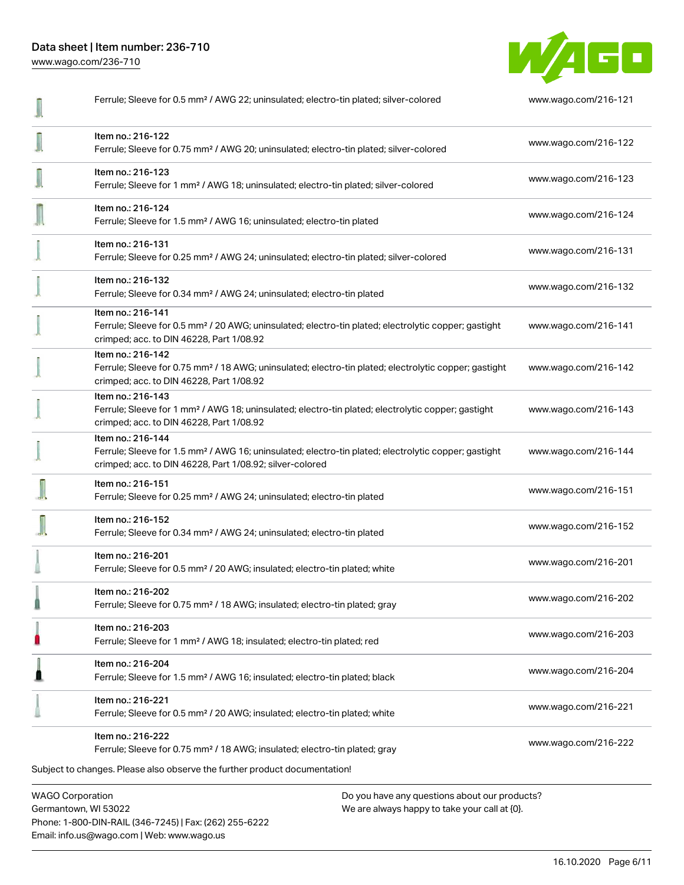Data sheet | Item number: 236-710 [www.wago.com/236-710](http://www.wago.com/236-710)

Ferrule; Sleeve for 0.5 mm² / AWG 22; uninsulated; electro-tin plated; silver-colored [www.wago.com/216-121](http://www.wago.com/216-121) Item no.: 216-122 Ferrule; Sleeve for 0.75 mm² / AWG 20; uninsulated; electro-tin plated; silver-colored [www.wago.com/216-122](http://www.wago.com/216-122) Item no.: 216-123 Ferrule; Sleeve for 1 mm² / AWG 18; uninsulated; electro-tin plated; silver-colored [www.wago.com/216-123](http://www.wago.com/216-123) Item no.: 216-124 Ferrule; Sleeve for 1.5 mm<sup>2</sup> / AWG 16; uninsulated; electro-tin plated [www.wago.com/216-124](http://www.wago.com/216-124) Item no.: 216-131 Ferrule; Sleeve for 0.25 mm² / AWG 24; uninsulated; electro-tin plated; silver-colored [www.wago.com/216-131](http://www.wago.com/216-131) Item no.: 216-132 Ferrule; Sleeve for 0.34 mm² / AWG 24; uninsulated; electro-tin plated [www.wago.com/216-132](http://www.wago.com/216-132) Item no.: 216-141 Ferrule; Sleeve for 0.5 mm² / 20 AWG; uninsulated; electro-tin plated; electrolytic copper; gastight [www.wago.com/216-141](http://www.wago.com/216-141) crimped; acc. to DIN 46228, Part 1/08.92 Item no.: 216-142 Ferrule; Sleeve for 0.75 mm² / 18 AWG; uninsulated; electro-tin plated; electrolytic copper; gastight [www.wago.com/216-142](http://www.wago.com/216-142) crimped; acc. to DIN 46228, Part 1/08.92 Item no.: 216-143 [www.wago.com/216-143](http://www.wago.com/216-143) Ferrule; Sleeve for 1 mm² / AWG 18; uninsulated; electro-tin plated; electrolytic copper; gastight crimped; acc. to DIN 46228, Part 1/08.92 Item no.: 216-144 Ferrule; Sleeve for 1.5 mm² / AWG 16; uninsulated; electro-tin plated; electrolytic copper; gastight [www.wago.com/216-144](http://www.wago.com/216-144) crimped; acc. to DIN 46228, Part 1/08.92; silver-colored Item no.: 216-151 Ferrule; Sleeve for 0.25 mm² / AWG 24; uninsulated; electro-tin plated [www.wago.com/216-151](http://www.wago.com/216-151) Item no.: 216-152 Ferrule; Sleeve for 0.34 mm² / AWG 24; uninsulated; electro-tin plated [www.wago.com/216-152](http://www.wago.com/216-152) Item no.: 216-201 Ferrule; Sleeve for 0.5 mm² / 20 AWG; insulated; electro-tin plated; white [www.wago.com/216-201](http://www.wago.com/216-201) î Item no.: 216-202 Ferrule; Sleeve for 0.75 mm² / 18 AWG; insulated; electro-tin plated; gray [www.wago.com/216-202](http://www.wago.com/216-202) 0 Item no.: 216-203 Ferrule; Sleeve for 1 mm² / AWG 18; insulated; electro-tin plated; red [www.wago.com/216-203](http://www.wago.com/216-203) O Item no.: 216-204 Ferrule; Sleeve for 1.5 mm² / AWG 16; insulated; electro-tin plated; black [www.wago.com/216-204](http://www.wago.com/216-204) Item no.: 216-221 Ferrule; Sleeve for 0.5 mm² / 20 AWG; insulated; electro-tin plated; white [www.wago.com/216-221](http://www.wago.com/216-221) Item no.: 216-222 Ferrule; Sleeve for 0.75 mm² / 18 AWG; insulated; electro-tin plated; gray [www.wago.com/216-222](http://www.wago.com/216-222)Subject to changes. Please also observe the further product documentation!

WAGO Corporation Germantown, WI 53022 Phone: 1-800-DIN-RAIL (346-7245) | Fax: (262) 255-6222 Email: info.us@wago.com | Web: www.wago.us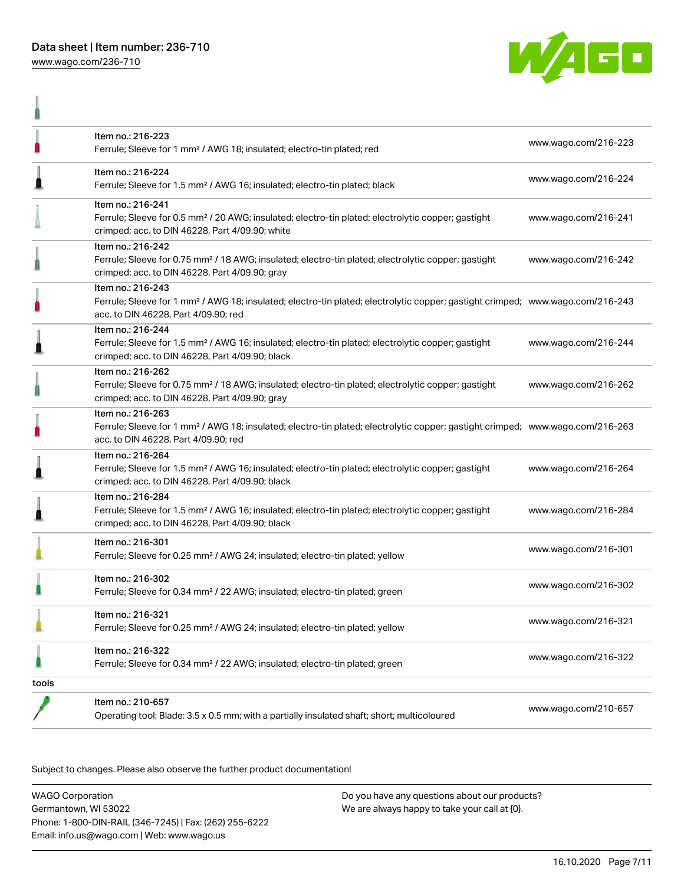

ñ



|       | Item no.: 216-223<br>Ferrule; Sleeve for 1 mm <sup>2</sup> / AWG 18; insulated; electro-tin plated; red                                                                                                 | www.wago.com/216-223 |
|-------|---------------------------------------------------------------------------------------------------------------------------------------------------------------------------------------------------------|----------------------|
|       | Item no.: 216-224<br>Ferrule; Sleeve for 1.5 mm <sup>2</sup> / AWG 16; insulated; electro-tin plated; black                                                                                             | www.wago.com/216-224 |
|       | Item no.: 216-241<br>Ferrule; Sleeve for 0.5 mm <sup>2</sup> / 20 AWG; insulated; electro-tin plated; electrolytic copper; gastight<br>crimped; acc. to DIN 46228, Part 4/09.90; white                  | www.wago.com/216-241 |
|       | Item no.: 216-242<br>Ferrule; Sleeve for 0.75 mm <sup>2</sup> / 18 AWG; insulated; electro-tin plated; electrolytic copper; gastight<br>crimped; acc. to DIN 46228, Part 4/09.90; gray                  | www.wago.com/216-242 |
|       | Item no.: 216-243<br>Ferrule; Sleeve for 1 mm <sup>2</sup> / AWG 18; insulated; electro-tin plated; electrolytic copper; gastight crimped; www.wago.com/216-243<br>acc. to DIN 46228, Part 4/09.90; red |                      |
|       | Item no.: 216-244<br>Ferrule; Sleeve for 1.5 mm <sup>2</sup> / AWG 16; insulated; electro-tin plated; electrolytic copper; gastight<br>crimped; acc. to DIN 46228, Part 4/09.90; black                  | www.wago.com/216-244 |
|       | Item no.: 216-262<br>Ferrule; Sleeve for 0.75 mm <sup>2</sup> / 18 AWG; insulated; electro-tin plated; electrolytic copper; gastight<br>crimped; acc. to DIN 46228, Part 4/09.90; gray                  | www.wago.com/216-262 |
|       | Item no.: 216-263<br>Ferrule; Sleeve for 1 mm <sup>2</sup> / AWG 18; insulated; electro-tin plated; electrolytic copper; gastight crimped; www.wago.com/216-263<br>acc. to DIN 46228, Part 4/09.90; red |                      |
| I     | Item no.: 216-264<br>Ferrule; Sleeve for 1.5 mm <sup>2</sup> / AWG 16; insulated; electro-tin plated; electrolytic copper; gastight<br>crimped; acc. to DIN 46228, Part 4/09.90; black                  | www.wago.com/216-264 |
|       | Item no.: 216-284<br>Ferrule; Sleeve for 1.5 mm <sup>2</sup> / AWG 16; insulated; electro-tin plated; electrolytic copper; gastight<br>crimped; acc. to DIN 46228, Part 4/09.90; black                  | www.wago.com/216-284 |
|       | Item no.: 216-301<br>Ferrule; Sleeve for 0.25 mm <sup>2</sup> / AWG 24; insulated; electro-tin plated; yellow                                                                                           | www.wago.com/216-301 |
|       | Item no.: 216-302<br>Ferrule; Sleeve for 0.34 mm <sup>2</sup> / 22 AWG; insulated; electro-tin plated; green                                                                                            | www.wago.com/216-302 |
|       | Item no.: 216-321<br>Ferrule; Sleeve for 0.25 mm <sup>2</sup> / AWG 24; insulated; electro-tin plated; yellow                                                                                           | www.wago.com/216-321 |
|       | Item no.: 216-322<br>Ferrule; Sleeve for 0.34 mm <sup>2</sup> / 22 AWG; insulated; electro-tin plated; green                                                                                            | www.wago.com/216-322 |
| tools |                                                                                                                                                                                                         |                      |
|       | Item no.: 210-657<br>Operating tool; Blade: 3.5 x 0.5 mm; with a partially insulated shaft; short; multicoloured                                                                                        | www.wago.com/210-657 |

Subject to changes. Please also observe the further product documentation!

WAGO Corporation Germantown, WI 53022 Phone: 1-800-DIN-RAIL (346-7245) | Fax: (262) 255-6222 Email: info.us@wago.com | Web: www.wago.us Do you have any questions about our products? We are always happy to take your call at {0}.

16.10.2020 Page 7/11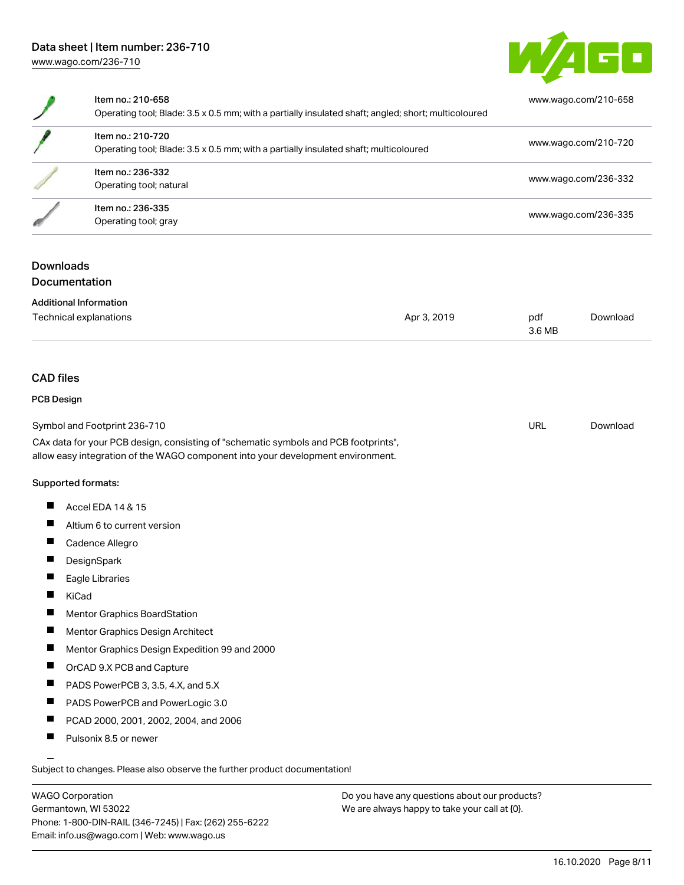

| Item no.: 210-658<br>Operating tool; Blade: 3.5 x 0.5 mm; with a partially insulated shaft; angled; short; multicoloured | www.wago.com/210-658 |
|--------------------------------------------------------------------------------------------------------------------------|----------------------|
| Item no.: 210-720<br>Operating tool; Blade: 3.5 x 0.5 mm; with a partially insulated shaft; multicoloured                | www.wago.com/210-720 |
| Item no.: 236-332<br>Operating tool; natural                                                                             | www.wago.com/236-332 |
| Item no.: 236-335<br>Operating tool; gray                                                                                | www.wago.com/236-335 |
|                                                                                                                          |                      |

## **Downloads** Documentation

| <b>Additional Information</b> |             |        |          |  |
|-------------------------------|-------------|--------|----------|--|
| Technical explanations        | Apr 3, 2019 | pdf    | Download |  |
|                               |             | 3.6 MB |          |  |

#### CAD files

#### PCB Design

| Symbol and Footprint 236-710                                                        | URL | Download |
|-------------------------------------------------------------------------------------|-----|----------|
| CAx data for your PCB design, consisting of "schematic symbols and PCB footprints", |     |          |
| allow easy integration of the WAGO component into your development environment.     |     |          |

#### Supported formats:

- $\blacksquare$ Accel EDA 14 & 15
- $\blacksquare$ Altium 6 to current version
- $\blacksquare$ Cadence Allegro
- $\blacksquare$ **DesignSpark**
- $\blacksquare$ Eagle Libraries
- $\blacksquare$ KiCad
- $\blacksquare$ Mentor Graphics BoardStation
- $\blacksquare$ Mentor Graphics Design Architect
- $\blacksquare$ Mentor Graphics Design Expedition 99 and 2000
- $\blacksquare$ OrCAD 9.X PCB and Capture
- $\blacksquare$ PADS PowerPCB 3, 3.5, 4.X, and 5.X
- $\blacksquare$ PADS PowerPCB and PowerLogic 3.0
- $\blacksquare$ PCAD 2000, 2001, 2002, 2004, and 2006
- $\blacksquare$ Pulsonix 8.5 or newer

Subject to changes. Please also observe the further product documentation!

WAGO Corporation Germantown, WI 53022 Phone: 1-800-DIN-RAIL (346-7245) | Fax: (262) 255-6222 Email: info.us@wago.com | Web: www.wago.us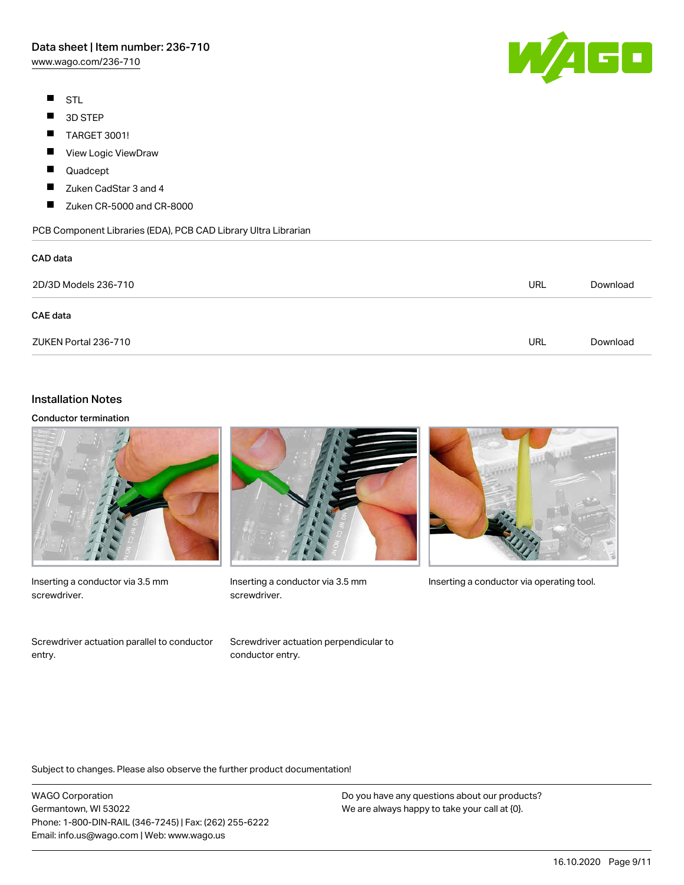[www.wago.com/236-710](http://www.wago.com/236-710)

- $\blacksquare$ STL
- $\blacksquare$ 3D STEP
- $\blacksquare$ TARGET 3001!
- $\blacksquare$ View Logic ViewDraw
- П Quadcept
- П Zuken CadStar 3 and 4
- $\blacksquare$ Zuken CR-5000 and CR-8000

PCB Component Libraries (EDA), PCB CAD Library Ultra Librarian

# CAD data 2D/3D Models 236-710 URL [Download](https://www.wago.com/us/d/3D_URLS_236-710) CAE data ZUKEN Portal 236-710 URL [Download](https://www.wago.com/us/d/Zuken_URLS_236-710)

# Installation Notes

#### Conductor termination



Inserting a conductor via 3.5 mm screwdriver.

Screwdriver actuation parallel to conductor entry.



screwdriver.



Inserting a conductor via 3.5 mm Inserting a conductor via operating tool.

Screwdriver actuation perpendicular to conductor entry.

Subject to changes. Please also observe the further product documentation!

WAGO Corporation Germantown, WI 53022 Phone: 1-800-DIN-RAIL (346-7245) | Fax: (262) 255-6222 Email: info.us@wago.com | Web: www.wago.us

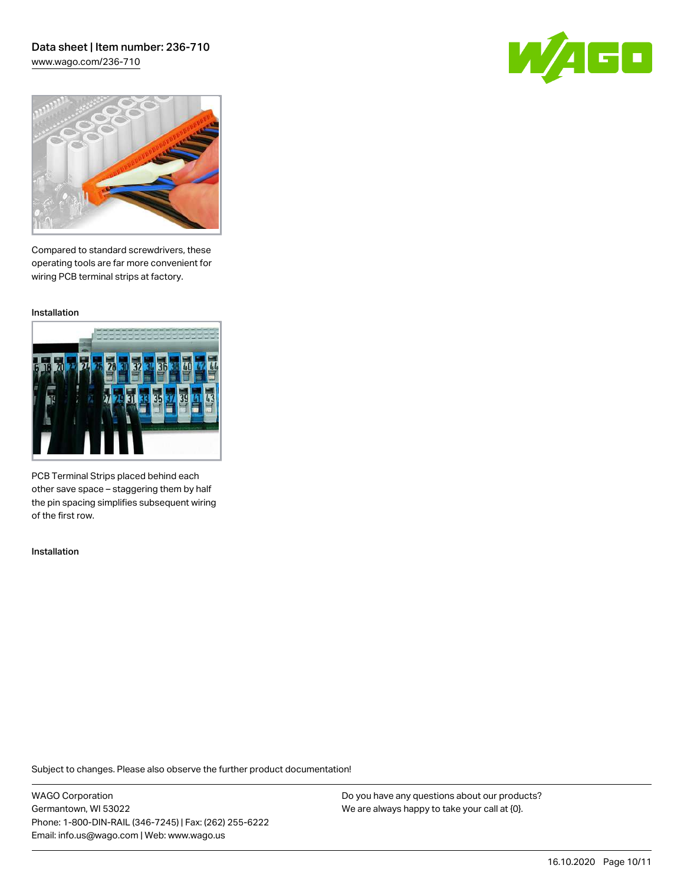#### Data sheet | Item number: 236-710 [www.wago.com/236-710](http://www.wago.com/236-710)





Compared to standard screwdrivers, these operating tools are far more convenient for wiring PCB terminal strips at factory.

Installation



PCB Terminal Strips placed behind each other save space – staggering them by half the pin spacing simplifies subsequent wiring of the first row.

Installation

Subject to changes. Please also observe the further product documentation!

WAGO Corporation Germantown, WI 53022 Phone: 1-800-DIN-RAIL (346-7245) | Fax: (262) 255-6222 Email: info.us@wago.com | Web: www.wago.us